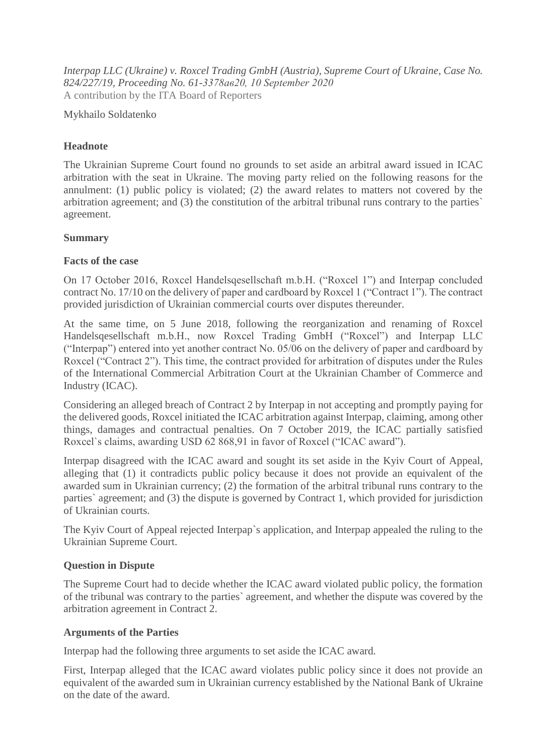*Interpap LLC (Ukraine) v. Roxcel Trading GmbH (Austria), Supreme Court of Ukraine, Case No. 824/227/19, Proceeding No. 61-3378ав20, 10 September 2020* A contribution by the ITA Board of Reporters

### Mykhailo Soldatenko

# **Headnote**

The Ukrainian Supreme Court found no grounds to set aside an arbitral award issued in ICAC arbitration with the seat in Ukraine. The moving party relied on the following reasons for the annulment: (1) public policy is violated; (2) the award relates to matters not covered by the arbitration agreement; and (3) the constitution of the arbitral tribunal runs contrary to the parties` agreement.

## **Summary**

#### **Facts of the case**

On 17 October 2016, Roxcel Handelsqesellschaft m.b.H. ("Roxcel 1") and Interpap concluded contract No. 17/10 on the delivery of paper and cardboard by Roxcel 1 ("Contract 1"). The contract provided jurisdiction of Ukrainian commercial courts over disputes thereunder.

At the same time, on 5 June 2018, following the reorganization and renaming of Roxcel Handelsqesellschaft m.b.H., now Roxcel Trading GmbH ("Roxcel") and Interpap LLC ("Interpap") entered into yet another contract No. 05/06 on the delivery of paper and cardboard by Roxcel ("Contract 2"). This time, the contract provided for arbitration of disputes under the Rules of the International Commercial Arbitration Court at the Ukrainian Chamber of Commerce and Industry (ICAC).

Considering an alleged breach of Contract 2 by Interpap in not accepting and promptly paying for the delivered goods, Roxcel initiated the ICAC arbitration against Interpap, claiming, among other things, damages and contractual penalties. On 7 October 2019, the ICAC partially satisfied Roxcel`s claims, awarding USD 62 868,91 in favor of Roxcel ("ICAC award").

Interpap disagreed with the ICAC award and sought its set aside in the Kyiv Court of Appeal, alleging that (1) it contradicts public policy because it does not provide an equivalent of the awarded sum in Ukrainian currency; (2) the formation of the arbitral tribunal runs contrary to the parties` agreement; and (3) the dispute is governed by Contract 1, which provided for jurisdiction of Ukrainian courts.

The Kyiv Court of Appeal rejected Interpap`s application, and Interpap appealed the ruling to the Ukrainian Supreme Court.

## **Question in Dispute**

The Supreme Court had to decide whether the ICAC award violated public policy, the formation of the tribunal was contrary to the parties` agreement, and whether the dispute was covered by the arbitration agreement in Contract 2.

## **Arguments of the Parties**

Interpap had the following three arguments to set aside the ICAC award.

First, Interpap alleged that the ICAC award violates public policy since it does not provide an equivalent of the awarded sum in Ukrainian currency established by the National Bank of Ukraine on the date of the award.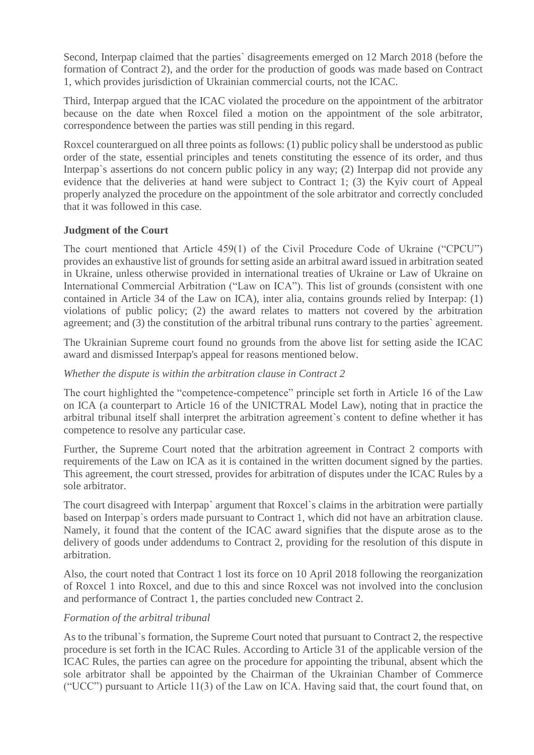Second, Interpap claimed that the parties` disagreements emerged on 12 March 2018 (before the formation of Contract 2), and the order for the production of goods was made based on Contract 1, which provides jurisdiction of Ukrainian commercial courts, not the ICAC.

Third, Interpap argued that the ICAC violated the procedure on the appointment of the arbitrator because on the date when Roxcel filed a motion on the appointment of the sole arbitrator, correspondence between the parties was still pending in this regard.

Roxcel counterargued on all three points as follows: (1) public policy shall be understood as public order of the state, essential principles and tenets constituting the essence of its order, and thus Interpap`s assertions do not concern public policy in any way; (2) Interpap did not provide any evidence that the deliveries at hand were subject to Contract 1; (3) the Kyiv court of Appeal properly analyzed the procedure on the appointment of the sole arbitrator and correctly concluded that it was followed in this case.

#### **Judgment of the Court**

The court mentioned that Article 459(1) of the Civil Procedure Code of Ukraine ("CPCU") provides an exhaustive list of grounds for setting aside an arbitral award issued in arbitration seated in Ukraine, unless otherwise provided in international treaties of Ukraine or Law of Ukraine on International Commercial Arbitration ("Law on ICA"). This list of grounds (consistent with one contained in Article 34 of the Law on ICA), inter alia, contains grounds relied by Interpap: (1) violations of public policy; (2) the award relates to matters not covered by the arbitration agreement; and (3) the constitution of the arbitral tribunal runs contrary to the parties` agreement.

The Ukrainian Supreme court found no grounds from the above list for setting aside the ICAC award and dismissed Interpap's appeal for reasons mentioned below.

#### *Whether the dispute is within the arbitration clause in Contract 2*

The court highlighted the "competence-competence" principle set forth in Article 16 of the Law on ICA (a counterpart to Article 16 of the UNICTRAL Model Law), noting that in practice the arbitral tribunal itself shall interpret the arbitration agreement`s content to define whether it has competence to resolve any particular case.

Further, the Supreme Court noted that the arbitration agreement in Contract 2 comports with requirements of the Law on ICA as it is contained in the written document signed by the parties. This agreement, the court stressed, provides for arbitration of disputes under the ICAC Rules by a sole arbitrator.

The court disagreed with Interpap` argument that Roxcel`s claims in the arbitration were partially based on Interpap`s orders made pursuant to Contract 1, which did not have an arbitration clause. Namely, it found that the content of the ICAC award signifies that the dispute arose as to the delivery of goods under addendums to Contract 2, providing for the resolution of this dispute in arbitration.

Also, the court noted that Contract 1 lost its force on 10 April 2018 following the reorganization of Roxcel 1 into Roxcel, and due to this and since Roxcel was not involved into the conclusion and performance of Contract 1, the parties concluded new Contract 2.

#### *Formation of the arbitral tribunal*

As to the tribunal`s formation, the Supreme Court noted that pursuant to Contract 2, the respective procedure is set forth in the ICAC Rules. According to Article 31 of the applicable version of the ICAC Rules, the parties can agree on the procedure for appointing the tribunal, absent which the sole arbitrator shall be appointed by the Chairman of the Ukrainian Chamber of Commerce ("UCC") pursuant to Article 11(3) of the Law on ICA. Having said that, the court found that, on